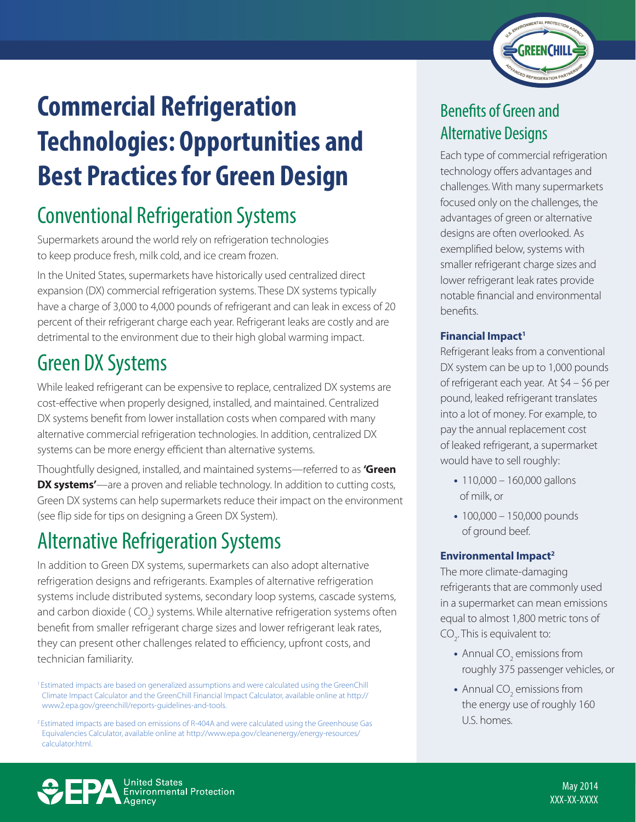

# **Commercial Refrigeration Technologies: Opportunities and Best Practices for Green Design**

## Conventional Refrigeration Systems

Supermarkets around the world rely on refrigeration technologies to keep produce fresh, milk cold, and ice cream frozen.

In the United States, supermarkets have historically used centralized direct expansion (DX) commercial refrigeration systems. These DX systems typically have a charge of 3,000 to 4,000 pounds of refrigerant and can leak in excess of 20 percent of their refrigerant charge each year. Refrigerant leaks are costly and are detrimental to the environment due to their high global warming impact.

## Green DX Systems

While leaked refrigerant can be expensive to replace, centralized DX systems are cost-effective when properly designed, installed, and maintained. Centralized DX systems benefit from lower installation costs when compared with many alternative commercial refrigeration technologies. In addition, centralized DX systems can be more energy efficient than alternative systems.

Thoughtfully designed, installed, and maintained systems—referred to as **'Green DX systems'**—are a proven and reliable technology. In addition to cutting costs, Green DX systems can help supermarkets reduce their impact on the environment (see flip side for tips on designing a Green DX System).

## Alternative Refrigeration Systems

In addition to Green DX systems, supermarkets can also adopt alternative refrigeration designs and refrigerants. Examples of alternative refrigeration systems include distributed systems, secondary loop systems, cascade systems, and carbon dioxide ( CO<sub>2</sub>) systems. While alternative refrigeration systems often benefit from smaller refrigerant charge sizes and lower refrigerant leak rates, they can present other challenges related to efficiency, upfront costs, and technician familiarity.

## Benefits of Green and Alternative Designs

Each type of commercial refrigeration technology offers advantages and challenges. With many supermarkets focused only on the challenges, the advantages of green or alternative designs are often overlooked. As exemplified below, systems with smaller refrigerant charge sizes and lower refrigerant leak rates provide notable financial and environmental benefits.

#### **Financial Impact<sup>1</sup>**

Refrigerant leaks from a conventional DX system can be up to 1,000 pounds of refrigerant each year. At \$4 – \$6 per pound, leaked refrigerant translates into a lot of money. For example, to pay the annual replacement cost of leaked refrigerant, a supermarket would have to sell roughly:

- 110,000 160,000 gallons of milk, or
- 100,000 150,000 pounds of ground beef.

#### **Environmental Impact<sup>2</sup>**

The more climate-damaging refrigerants that are commonly used in a supermarket can mean emissions equal to almost 1,800 metric tons of  $CO_{2}$ . This is equivalent to:

- Annual CO<sub>2</sub> emissions from roughly 375 passenger vehicles, or
- Annual CO<sub>2</sub> emissions from the energy use of roughly 160 U.S. homes.



<sup>1</sup> Estimated impacts are based on generalized assumptions and were calculated using the GreenChill Climate Impact Calculator and the GreenChill Financial Impact Calculator, available online at http:// www2.epa.gov/greenchill/reports-guidelines-and-tools.

<sup>2</sup> Estimated impacts are based on emissions of R-404A and were calculated using the Greenhouse Gas Equivalencies Calculator, available online at http://www.epa.gov/cleanenergy/energy-resources/ calculator.html.